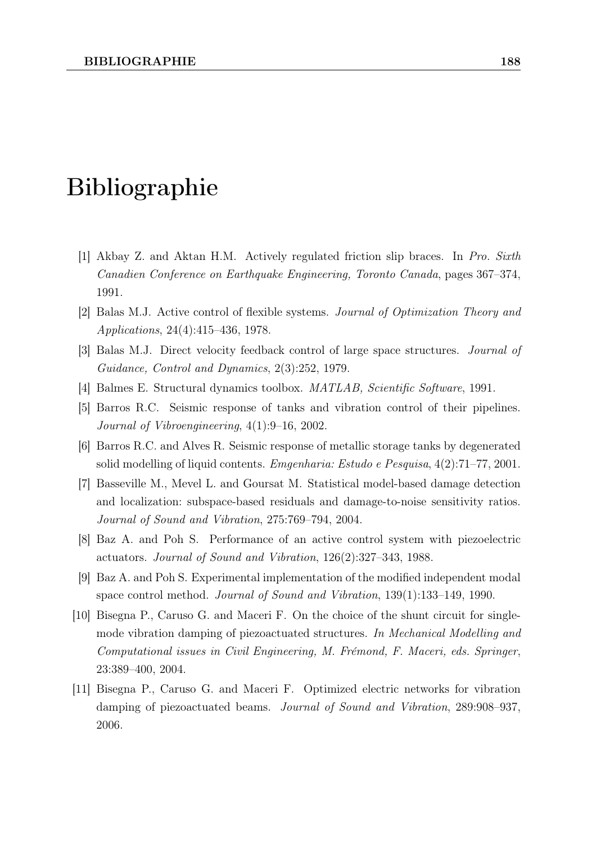## Bibliographie

- [1] Akbay Z. and Aktan H.M. Actively regulated friction slip braces. In Pro. Sixth Canadien Conference on Earthquake Engineering, Toronto Canada, pages 367–374, 1991.
- [2] Balas M.J. Active control of flexible systems. Journal of Optimization Theory and Applications, 24(4):415–436, 1978.
- [3] Balas M.J. Direct velocity feedback control of large space structures. Journal of Guidance, Control and Dynamics, 2(3):252, 1979.
- [4] Balmes E. Structural dynamics toolbox. MATLAB, Scientific Software, 1991.
- [5] Barros R.C. Seismic response of tanks and vibration control of their pipelines. Journal of Vibroengineering, 4(1):9–16, 2002.
- [6] Barros R.C. and Alves R. Seismic response of metallic storage tanks by degenerated solid modelling of liquid contents. Emgenharia: Estudo e Pesquisa, 4(2):71–77, 2001.
- [7] Basseville M., Mevel L. and Goursat M. Statistical model-based damage detection and localization: subspace-based residuals and damage-to-noise sensitivity ratios. Journal of Sound and Vibration, 275:769–794, 2004.
- [8] Baz A. and Poh S. Performance of an active control system with piezoelectric actuators. Journal of Sound and Vibration, 126(2):327–343, 1988.
- [9] Baz A. and Poh S. Experimental implementation of the modified independent modal space control method. Journal of Sound and Vibration, 139(1):133–149, 1990.
- [10] Bisegna P., Caruso G. and Maceri F. On the choice of the shunt circuit for singlemode vibration damping of piezoactuated structures. In Mechanical Modelling and Computational issues in Civil Engineering, M. Frémond, F. Maceri, eds. Springer, 23:389–400, 2004.
- [11] Bisegna P., Caruso G. and Maceri F. Optimized electric networks for vibration damping of piezoactuated beams. Journal of Sound and Vibration, 289:908–937, 2006.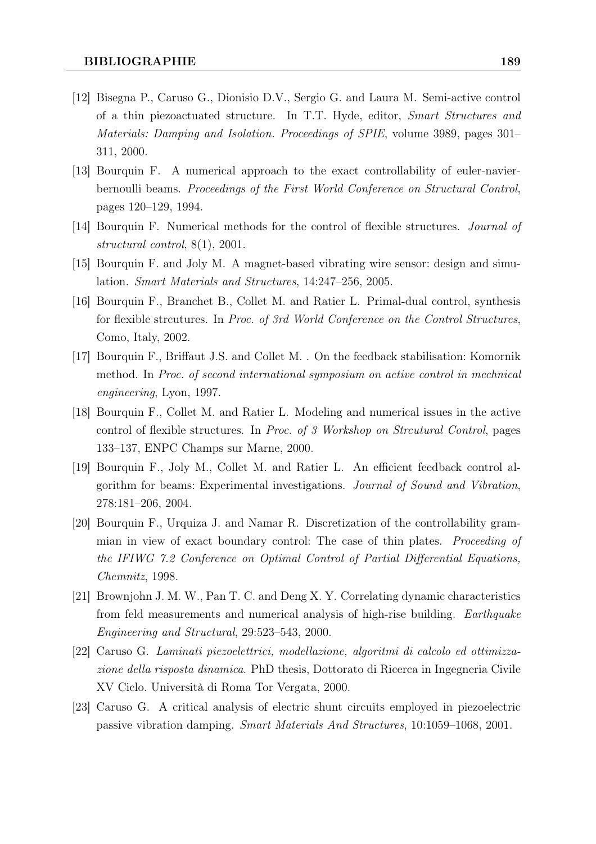- [12] Bisegna P., Caruso G., Dionisio D.V., Sergio G. and Laura M. Semi-active control of a thin piezoactuated structure. In T.T. Hyde, editor, Smart Structures and Materials: Damping and Isolation. Proceedings of SPIE, volume 3989, pages 301– 311, 2000.
- [13] Bourquin F. A numerical approach to the exact controllability of euler-navierbernoulli beams. Proceedings of the First World Conference on Structural Control, pages 120–129, 1994.
- [14] Bourquin F. Numerical methods for the control of flexible structures. Journal of structural control, 8(1), 2001.
- [15] Bourquin F. and Joly M. A magnet-based vibrating wire sensor: design and simulation. Smart Materials and Structures, 14:247–256, 2005.
- [16] Bourquin F., Branchet B., Collet M. and Ratier L. Primal-dual control, synthesis for flexible strcutures. In Proc. of 3rd World Conference on the Control Structures, Como, Italy, 2002.
- [17] Bourquin F., Briffaut J.S. and Collet M. . On the feedback stabilisation: Komornik method. In Proc. of second international symposium on active control in mechnical engineering, Lyon, 1997.
- [18] Bourquin F., Collet M. and Ratier L. Modeling and numerical issues in the active control of flexible structures. In Proc. of 3 Workshop on Strcutural Control, pages 133–137, ENPC Champs sur Marne, 2000.
- [19] Bourquin F., Joly M., Collet M. and Ratier L. An efficient feedback control algorithm for beams: Experimental investigations. Journal of Sound and Vibration, 278:181–206, 2004.
- [20] Bourquin F., Urquiza J. and Namar R. Discretization of the controllability grammian in view of exact boundary control: The case of thin plates. Proceeding of the IFIWG 7.2 Conference on Optimal Control of Partial Differential Equations, Chemnitz, 1998.
- [21] Brownjohn J. M. W., Pan T. C. and Deng X. Y. Correlating dynamic characteristics from feld measurements and numerical analysis of high-rise building. Earthquake Engineering and Structural, 29:523–543, 2000.
- [22] Caruso G. Laminati piezoelettrici, modellazione, algoritmi di calcolo ed ottimizzazione della risposta dinamica. PhD thesis, Dottorato di Ricerca in Ingegneria Civile XV Ciclo. Università di Roma Tor Vergata, 2000.
- [23] Caruso G. A critical analysis of electric shunt circuits employed in piezoelectric passive vibration damping. Smart Materials And Structures, 10:1059–1068, 2001.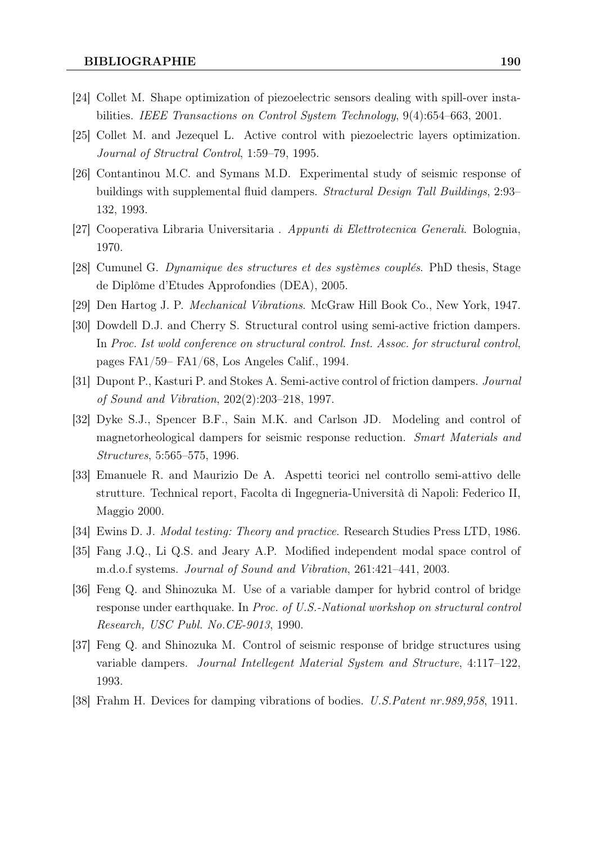- [24] Collet M. Shape optimization of piezoelectric sensors dealing with spill-over instabilities. IEEE Transactions on Control System Technology, 9(4):654–663, 2001.
- [25] Collet M. and Jezequel L. Active control with piezoelectric layers optimization. Journal of Structral Control, 1:59–79, 1995.
- [26] Contantinou M.C. and Symans M.D. Experimental study of seismic response of buildings with supplemental fluid dampers. Stractural Design Tall Buildings, 2:93– 132, 1993.
- [27] Cooperativa Libraria Universitaria . Appunti di Elettrotecnica Generali. Bolognia, 1970.
- [28] Cumunel G. Dynamique des structures et des systèmes couplés. PhD thesis, Stage de Diplôme d'Etudes Approfondies (DEA), 2005.
- [29] Den Hartog J. P. Mechanical Vibrations. McGraw Hill Book Co., New York, 1947.
- [30] Dowdell D.J. and Cherry S. Structural control using semi-active friction dampers. In Proc. Ist wold conference on structural control. Inst. Assoc. for structural control, pages FA1/59– FA1/68, Los Angeles Calif., 1994.
- [31] Dupont P., Kasturi P. and Stokes A. Semi-active control of friction dampers. Journal of Sound and Vibration, 202(2):203–218, 1997.
- [32] Dyke S.J., Spencer B.F., Sain M.K. and Carlson JD. Modeling and control of magnetorheological dampers for seismic response reduction. Smart Materials and Structures, 5:565–575, 1996.
- [33] Emanuele R. and Maurizio De A. Aspetti teorici nel controllo semi-attivo delle strutture. Technical report, Facolta di Ingegneria-Università di Napoli: Federico II, Maggio 2000.
- [34] Ewins D. J. Modal testing: Theory and practice. Research Studies Press LTD, 1986.
- [35] Fang J.Q., Li Q.S. and Jeary A.P. Modified independent modal space control of m.d.o.f systems. Journal of Sound and Vibration, 261:421–441, 2003.
- [36] Feng Q. and Shinozuka M. Use of a variable damper for hybrid control of bridge response under earthquake. In Proc. of U.S.-National workshop on structural control Research, USC Publ. No.CE-9013, 1990.
- [37] Feng Q. and Shinozuka M. Control of seismic response of bridge structures using variable dampers. Journal Intellegent Material System and Structure, 4:117–122, 1993.
- [38] Frahm H. Devices for damping vibrations of bodies. U.S.Patent nr.989,958, 1911.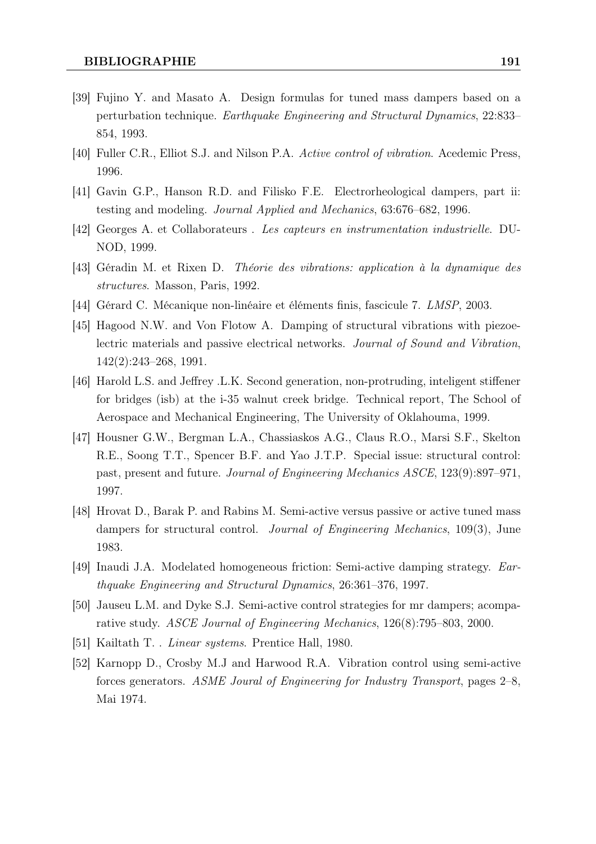- [39] Fujino Y. and Masato A. Design formulas for tuned mass dampers based on a perturbation technique. Earthquake Engineering and Structural Dynamics, 22:833– 854, 1993.
- [40] Fuller C.R., Elliot S.J. and Nilson P.A. Active control of vibration. Acedemic Press, 1996.
- [41] Gavin G.P., Hanson R.D. and Filisko F.E. Electrorheological dampers, part ii: testing and modeling. Journal Applied and Mechanics, 63:676–682, 1996.
- [42] Georges A. et Collaborateurs . Les capteurs en instrumentation industrielle. DU-NOD, 1999.
- [43] Géradin M. et Rixen D. Théorie des vibrations: application à la dynamique des structures. Masson, Paris, 1992.
- [44] Gérard C. Mécanique non-linéaire et éléments finis, fascicule 7. LMSP, 2003.
- [45] Hagood N.W. and Von Flotow A. Damping of structural vibrations with piezoelectric materials and passive electrical networks. Journal of Sound and Vibration, 142(2):243–268, 1991.
- [46] Harold L.S. and Jeffrey .L.K. Second generation, non-protruding, inteligent stiffener for bridges (isb) at the i-35 walnut creek bridge. Technical report, The School of Aerospace and Mechanical Engineering, The University of Oklahouma, 1999.
- [47] Housner G.W., Bergman L.A., Chassiaskos A.G., Claus R.O., Marsi S.F., Skelton R.E., Soong T.T., Spencer B.F. and Yao J.T.P. Special issue: structural control: past, present and future. Journal of Engineering Mechanics ASCE, 123(9):897–971, 1997.
- [48] Hrovat D., Barak P. and Rabins M. Semi-active versus passive or active tuned mass dampers for structural control. Journal of Engineering Mechanics, 109(3), June 1983.
- [49] Inaudi J.A. Modelated homogeneous friction: Semi-active damping strategy. Earthquake Engineering and Structural Dynamics, 26:361–376, 1997.
- [50] Jauseu L.M. and Dyke S.J. Semi-active control strategies for mr dampers; acomparative study. ASCE Journal of Engineering Mechanics, 126(8):795–803, 2000.
- [51] Kailtath T. . Linear systems. Prentice Hall, 1980.
- [52] Karnopp D., Crosby M.J and Harwood R.A. Vibration control using semi-active forces generators. ASME Joural of Engineering for Industry Transport, pages 2–8, Mai 1974.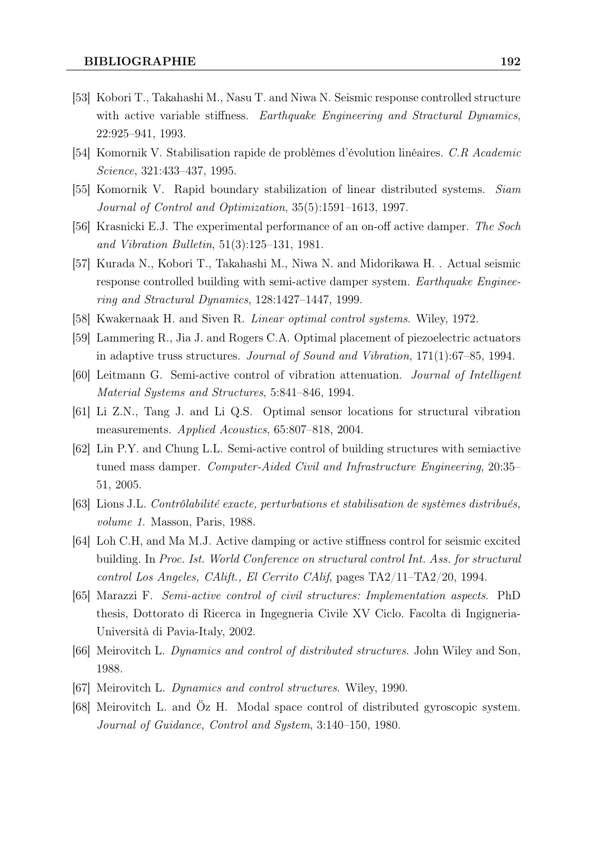- [53] Kobori T., Takahashi M., Nasu T. and Niwa N. Seismic response controlled structure with active variable stiffness. Earthquake Engineering and Stractural Dynamics, 22:925–941, 1993.
- [54] Komornik V. Stabilisation rapide de problèmes d'évolution linéaires. C.R Academic Science, 321:433–437, 1995.
- [55] Komornik V. Rapid boundary stabilization of linear distributed systems. Siam Journal of Control and Optimization, 35(5):1591–1613, 1997.
- [56] Krasnicki E.J. The experimental performance of an on-off active damper. The Soch and Vibration Bulletin, 51(3):125–131, 1981.
- [57] Kurada N., Kobori T., Takahashi M., Niwa N. and Midorikawa H. . Actual seismic response controlled building with semi-active damper system. *Earthquake Enginee*ring and Stractural Dynamics, 128:1427–1447, 1999.
- [58] Kwakernaak H. and Siven R. Linear optimal control systems. Wiley, 1972.
- [59] Lammering R., Jia J. and Rogers C.A. Optimal placement of piezoelectric actuators in adaptive truss structures. Journal of Sound and Vibration, 171(1):67–85, 1994.
- [60] Leitmann G. Semi-active control of vibration attenuation. Journal of Intelligent Material Systems and Structures, 5:841–846, 1994.
- [61] Li Z.N., Tang J. and Li Q.S. Optimal sensor locations for structural vibration measurements. Applied Acoustics, 65:807–818, 2004.
- [62] Lin P.Y. and Chung L.L. Semi-active control of building structures with semiactive tuned mass damper. Computer-Aided Civil and Infrastructure Engineering, 20:35– 51, 2005.
- [63] Lions J.L. Contrôlabilité exacte, perturbations et stabilisation de systèmes distribués, volume 1. Masson, Paris, 1988.
- [64] Loh C.H, and Ma M.J. Active damping or active stiffness control for seismic excited building. In Proc. Ist. World Conference on structural control Int. Ass. for structural control Los Angeles, CAlift., El Cerrito CAlif, pages TA2/11–TA2/20, 1994.
- [65] Marazzi F. Semi-active control of civil structures: Implementation aspects. PhD thesis, Dottorato di Ricerca in Ingegneria Civile XV Ciclo. Facolta di Ingigneria-Università di Pavia-Italy, 2002.
- [66] Meirovitch L. Dynamics and control of distributed structures. John Wiley and Son, 1988.
- [67] Meirovitch L. Dynamics and control structures. Wiley, 1990.
- [68] Meirovitch L. and Öz H. Modal space control of distributed gyroscopic system. Journal of Guidance, Control and System, 3:140–150, 1980.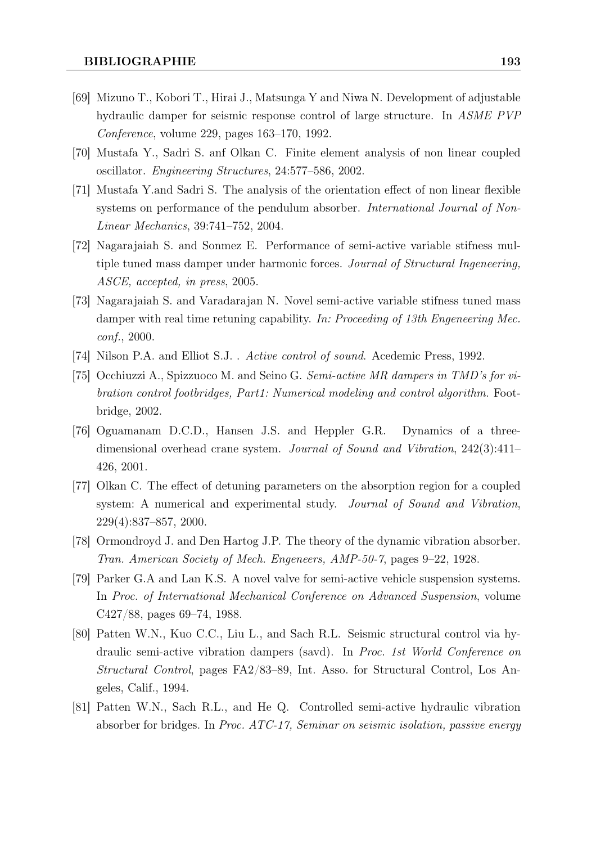- [69] Mizuno T., Kobori T., Hirai J., Matsunga Y and Niwa N. Development of adjustable hydraulic damper for seismic response control of large structure. In ASME PVP Conference, volume 229, pages 163–170, 1992.
- [70] Mustafa Y., Sadri S. anf Olkan C. Finite element analysis of non linear coupled oscillator. Engineering Structures, 24:577–586, 2002.
- [71] Mustafa Y.and Sadri S. The analysis of the orientation effect of non linear flexible systems on performance of the pendulum absorber. *International Journal of Non-*Linear Mechanics, 39:741–752, 2004.
- [72] Nagarajaiah S. and Sonmez E. Performance of semi-active variable stifness multiple tuned mass damper under harmonic forces. Journal of Structural Ingeneering, ASCE, accepted, in press, 2005.
- [73] Nagarajaiah S. and Varadarajan N. Novel semi-active variable stifness tuned mass damper with real time retuning capability. In: Proceeding of 13th Engeneering Mec. conf., 2000.
- [74] Nilson P.A. and Elliot S.J. . Active control of sound. Acedemic Press, 1992.
- [75] Occhiuzzi A., Spizzuoco M. and Seino G. Semi-active MR dampers in TMD's for vibration control footbridges, Part1: Numerical modeling and control algorithm. Footbridge, 2002.
- [76] Oguamanam D.C.D., Hansen J.S. and Heppler G.R. Dynamics of a threedimensional overhead crane system. Journal of Sound and Vibration, 242(3):411– 426, 2001.
- [77] Olkan C. The effect of detuning parameters on the absorption region for a coupled system: A numerical and experimental study. Journal of Sound and Vibration, 229(4):837–857, 2000.
- [78] Ormondroyd J. and Den Hartog J.P. The theory of the dynamic vibration absorber. Tran. American Society of Mech. Engeneers, AMP-50-7, pages 9–22, 1928.
- [79] Parker G.A and Lan K.S. A novel valve for semi-active vehicle suspension systems. In Proc. of International Mechanical Conference on Advanced Suspension, volume C427/88, pages 69–74, 1988.
- [80] Patten W.N., Kuo C.C., Liu L., and Sach R.L. Seismic structural control via hydraulic semi-active vibration dampers (savd). In Proc. 1st World Conference on Structural Control, pages FA2/83–89, Int. Asso. for Structural Control, Los Angeles, Calif., 1994.
- [81] Patten W.N., Sach R.L., and He Q. Controlled semi-active hydraulic vibration absorber for bridges. In Proc. ATC-17, Seminar on seismic isolation, passive energy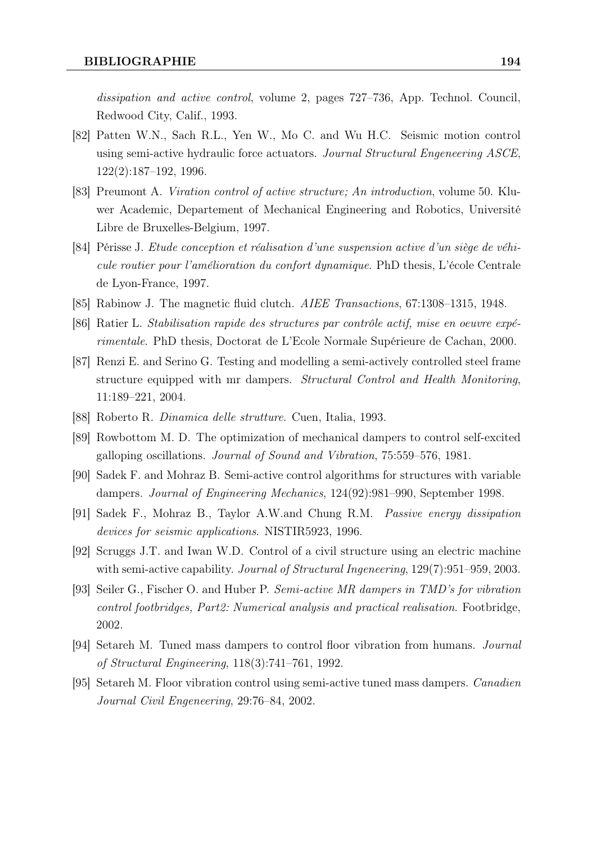dissipation and active control, volume 2, pages 727–736, App. Technol. Council, Redwood City, Calif., 1993.

- [82] Patten W.N., Sach R.L., Yen W., Mo C. and Wu H.C. Seismic motion control using semi-active hydraulic force actuators. Journal Structural Engeneering ASCE, 122(2):187–192, 1996.
- [83] Preumont A. Viration control of active structure; An introduction, volume 50. Kluwer Academic, Departement of Mechanical Engineering and Robotics, Université Libre de Bruxelles-Belgium, 1997.
- [84] Périsse J. Etude conception et réalisation d'une suspension active d'un siège de véhicule routier pour l'amélioration du confort dynamique. PhD thesis, L'école Centrale de Lyon-France, 1997.
- [85] Rabinow J. The magnetic fluid clutch. AIEE Transactions, 67:1308–1315, 1948.
- [86] Ratier L. Stabilisation rapide des structures par contrôle actif, mise en oeuvre expérimentale. PhD thesis, Doctorat de L'Ecole Normale Supérieure de Cachan, 2000.
- [87] Renzi E. and Serino G. Testing and modelling a semi-actively controlled steel frame structure equipped with mr dampers. Structural Control and Health Monitoring, 11:189–221, 2004.
- [88] Roberto R. Dinamica delle strutture. Cuen, Italia, 1993.
- [89] Rowbottom M. D. The optimization of mechanical dampers to control self-excited galloping oscillations. Journal of Sound and Vibration, 75:559–576, 1981.
- [90] Sadek F. and Mohraz B. Semi-active control algorithms for structures with variable dampers. Journal of Engineering Mechanics, 124(92):981–990, September 1998.
- [91] Sadek F., Mohraz B., Taylor A.W.and Chung R.M. Passive energy dissipation devices for seismic applications. NISTIR5923, 1996.
- [92] Scruggs J.T. and Iwan W.D. Control of a civil structure using an electric machine with semi-active capability. *Journal of Structural Ingeneering*,  $129(7):951-959$ , 2003.
- [93] Seiler G., Fischer O. and Huber P. Semi-active MR dampers in TMD's for vibration control footbridges, Part2: Numerical analysis and practical realisation. Footbridge, 2002.
- [94] Setareh M. Tuned mass dampers to control floor vibration from humans. Journal of Structural Engineering, 118(3):741–761, 1992.
- [95] Setareh M. Floor vibration control using semi-active tuned mass dampers. Canadien Journal Civil Engeneering, 29:76–84, 2002.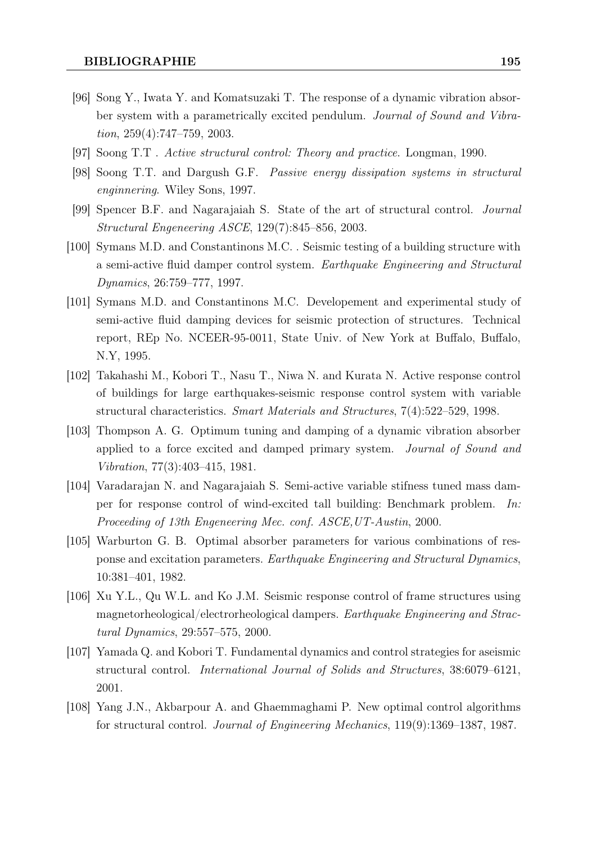- [96] Song Y., Iwata Y. and Komatsuzaki T. The response of a dynamic vibration absorber system with a parametrically excited pendulum. Journal of Sound and Vibration, 259(4):747–759, 2003.
- [97] Soong T.T . Active structural control: Theory and practice. Longman, 1990.
- [98] Soong T.T. and Dargush G.F. Passive energy dissipation systems in structural enginnering. Wiley Sons, 1997.
- [99] Spencer B.F. and Nagarajaiah S. State of the art of structural control. Journal Structural Engeneering ASCE, 129(7):845–856, 2003.
- [100] Symans M.D. and Constantinons M.C. . Seismic testing of a building structure with a semi-active fluid damper control system. Earthquake Engineering and Structural Dynamics, 26:759–777, 1997.
- [101] Symans M.D. and Constantinons M.C. Developement and experimental study of semi-active fluid damping devices for seismic protection of structures. Technical report, REp No. NCEER-95-0011, State Univ. of New York at Buffalo, Buffalo, N.Y, 1995.
- [102] Takahashi M., Kobori T., Nasu T., Niwa N. and Kurata N. Active response control of buildings for large earthquakes-seismic response control system with variable structural characteristics. Smart Materials and Structures, 7(4):522–529, 1998.
- [103] Thompson A. G. Optimum tuning and damping of a dynamic vibration absorber applied to a force excited and damped primary system. Journal of Sound and Vibration, 77(3):403–415, 1981.
- [104] Varadarajan N. and Nagarajaiah S. Semi-active variable stifness tuned mass damper for response control of wind-excited tall building: Benchmark problem. In: Proceeding of 13th Engeneering Mec. conf. ASCE,UT-Austin, 2000.
- [105] Warburton G. B. Optimal absorber parameters for various combinations of response and excitation parameters. Earthquake Engineering and Structural Dynamics, 10:381–401, 1982.
- [106] Xu Y.L., Qu W.L. and Ko J.M. Seismic response control of frame structures using magnetorheological/electrorheological dampers. Earthquake Engineering and Stractural Dynamics, 29:557–575, 2000.
- [107] Yamada Q. and Kobori T. Fundamental dynamics and control strategies for aseismic structural control. International Journal of Solids and Structures, 38:6079–6121, 2001.
- [108] Yang J.N., Akbarpour A. and Ghaemmaghami P. New optimal control algorithms for structural control. Journal of Engineering Mechanics, 119(9):1369–1387, 1987.